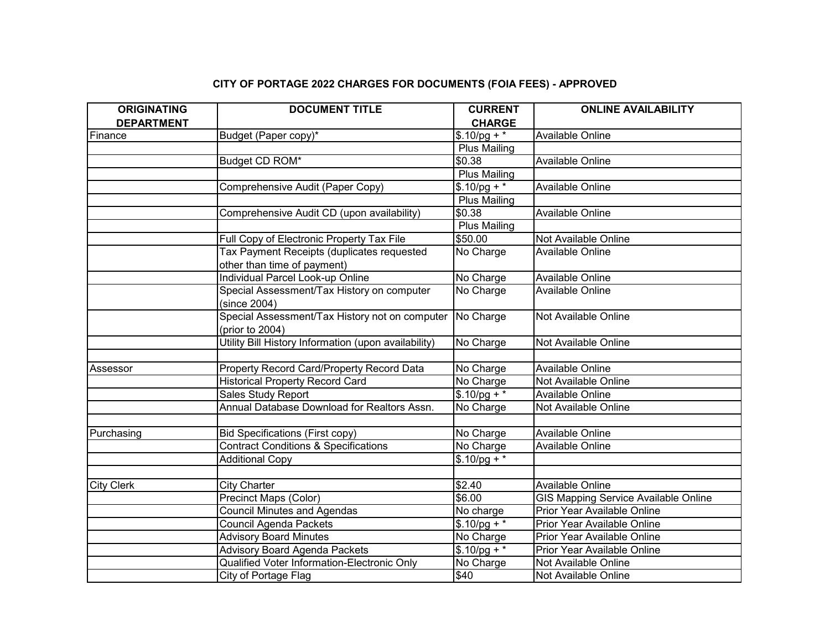## **CITY OF PORTAGE 2022 CHARGES FOR DOCUMENTS (FOIA FEES) - APPROVED**

| <b>ORIGINATING</b> | <b>DOCUMENT TITLE</b>                                | <b>CURRENT</b>      | <b>ONLINE AVAILABILITY</b>                  |
|--------------------|------------------------------------------------------|---------------------|---------------------------------------------|
| <b>DEPARTMENT</b>  |                                                      | <b>CHARGE</b>       |                                             |
| Finance            | Budget (Paper copy)*                                 | $$.10/pg +$ *       | Available Online                            |
|                    |                                                      | <b>Plus Mailing</b> |                                             |
|                    | Budget CD ROM*                                       | \$0.38              | Available Online                            |
|                    |                                                      | <b>Plus Mailing</b> |                                             |
|                    | Comprehensive Audit (Paper Copy)                     | $$.10/pg +$ *       | Available Online                            |
|                    |                                                      | <b>Plus Mailing</b> |                                             |
|                    | Comprehensive Audit CD (upon availability)           | \$0.38              | Available Online                            |
|                    |                                                      | <b>Plus Mailing</b> |                                             |
|                    | Full Copy of Electronic Property Tax File            | \$50.00             | Not Available Online                        |
|                    | Tax Payment Receipts (duplicates requested           | No Charge           | Available Online                            |
|                    | other than time of payment)                          |                     |                                             |
|                    | Individual Parcel Look-up Online                     | No Charge           | Available Online                            |
|                    | Special Assessment/Tax History on computer           | No Charge           | <b>Available Online</b>                     |
|                    | (since 2004)                                         |                     |                                             |
|                    | Special Assessment/Tax History not on computer       | No Charge           | Not Available Online                        |
|                    | (prior to 2004)                                      |                     |                                             |
|                    | Utility Bill History Information (upon availability) | No Charge           | Not Available Online                        |
|                    |                                                      |                     |                                             |
| Assessor           | Property Record Card/Property Record Data            | No Charge           | Available Online                            |
|                    | <b>Historical Property Record Card</b>               | No Charge           | Not Available Online                        |
|                    | Sales Study Report                                   | $$.10$ /pg + *      | Available Online                            |
|                    | Annual Database Download for Realtors Assn.          | No Charge           | Not Available Online                        |
|                    |                                                      |                     |                                             |
| Purchasing         | <b>Bid Specifications (First copy)</b>               | No Charge           | Available Online                            |
|                    | <b>Contract Conditions &amp; Specifications</b>      | No Charge           | Available Online                            |
|                    | <b>Additional Copy</b>                               | $$.10$ /pg + *      |                                             |
|                    |                                                      |                     |                                             |
| <b>City Clerk</b>  | <b>City Charter</b>                                  | \$2.40              | Available Online                            |
|                    | <b>Precinct Maps (Color)</b>                         | \$6.00              | <b>GIS Mapping Service Available Online</b> |
|                    | <b>Council Minutes and Agendas</b>                   | No charge           | Prior Year Available Online                 |
|                    | <b>Council Agenda Packets</b>                        | $$.10$ /pg + *      | Prior Year Available Online                 |
|                    | <b>Advisory Board Minutes</b>                        | No Charge           | Prior Year Available Online                 |
|                    | <b>Advisory Board Agenda Packets</b>                 | $$.10$ /pg + *      | Prior Year Available Online                 |
|                    | Qualified Voter Information-Electronic Only          | No Charge           | Not Available Online                        |
|                    | City of Portage Flag                                 | \$40                | Not Available Online                        |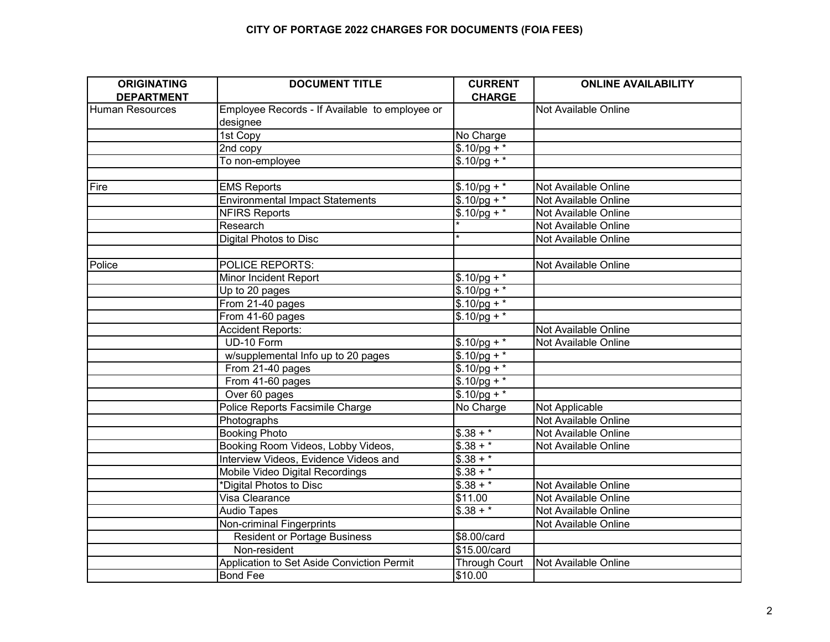## **CITY OF PORTAGE 2022 CHARGES FOR DOCUMENTS (FOIA FEES)**

| <b>ORIGINATING</b><br><b>DEPARTMENT</b> | <b>DOCUMENT TITLE</b>                          | <b>CURRENT</b><br><b>CHARGE</b> | <b>ONLINE AVAILABILITY</b> |
|-----------------------------------------|------------------------------------------------|---------------------------------|----------------------------|
| <b>Human Resources</b>                  | Employee Records - If Available to employee or |                                 | Not Available Online       |
|                                         | designee                                       |                                 |                            |
|                                         | 1st Copy                                       | No Charge                       |                            |
|                                         | 2nd copy                                       | $$.10$ /pg + *                  |                            |
|                                         | To non-employee                                | $$.10$ /pg + *                  |                            |
|                                         |                                                |                                 |                            |
| Fire                                    | <b>EMS Reports</b>                             | $$.10/pg +$                     | Not Available Online       |
|                                         | <b>Environmental Impact Statements</b>         | $$.10$ /pg + *                  | Not Available Online       |
|                                         | <b>NFIRS Reports</b>                           | $$.10/pg +$                     | Not Available Online       |
|                                         | Research                                       |                                 | Not Available Online       |
|                                         | Digital Photos to Disc                         |                                 | Not Available Online       |
|                                         |                                                |                                 |                            |
| Police                                  | <b>POLICE REPORTS:</b>                         |                                 | Not Available Online       |
|                                         | Minor Incident Report                          | $$.10/pg +$                     |                            |
|                                         | Up to 20 pages                                 | $$.10/pg +$                     |                            |
|                                         | From 21-40 pages                               | $$.10$ /pg + *                  |                            |
|                                         | From 41-60 pages                               | $$.10$ /pg + *                  |                            |
|                                         | <b>Accident Reports:</b>                       |                                 | Not Available Online       |
|                                         | UD-10 Form                                     | $$.10$ /pg + *                  | Not Available Online       |
|                                         | w/supplemental Info up to 20 pages             | $$.10$ /pg + *                  |                            |
|                                         | From 21-40 pages                               | $$.10$ /pg + *                  |                            |
|                                         | From 41-60 pages                               | $$.10$ /pg + *                  |                            |
|                                         | Over 60 pages                                  | $$.10$ /pg + *                  |                            |
|                                         | Police Reports Facsimile Charge                | No Charge                       | Not Applicable             |
|                                         | Photographs                                    |                                 | Not Available Online       |
|                                         | <b>Booking Photo</b>                           | $$.38 + *$                      | Not Available Online       |
|                                         | Booking Room Videos, Lobby Videos,             | $$.38 + *$                      | Not Available Online       |
|                                         | Interview Videos, Evidence Videos and          | $$.38 + *$                      |                            |
|                                         | Mobile Video Digital Recordings                | $$.38 + *$                      |                            |
|                                         | *Digital Photos to Disc                        | $$.38 + *$                      | Not Available Online       |
|                                         | Visa Clearance                                 | \$11.00                         | Not Available Online       |
|                                         | <b>Audio Tapes</b>                             | $\sqrt{$.38 + *}$               | Not Available Online       |
|                                         | Non-criminal Fingerprints                      |                                 | Not Available Online       |
|                                         | <b>Resident or Portage Business</b>            | \$8.00/card                     |                            |
|                                         | Non-resident                                   | \$15.00/card                    |                            |
|                                         | Application to Set Aside Conviction Permit     | <b>Through Court</b>            | Not Available Online       |
|                                         | <b>Bond Fee</b>                                | \$10.00                         |                            |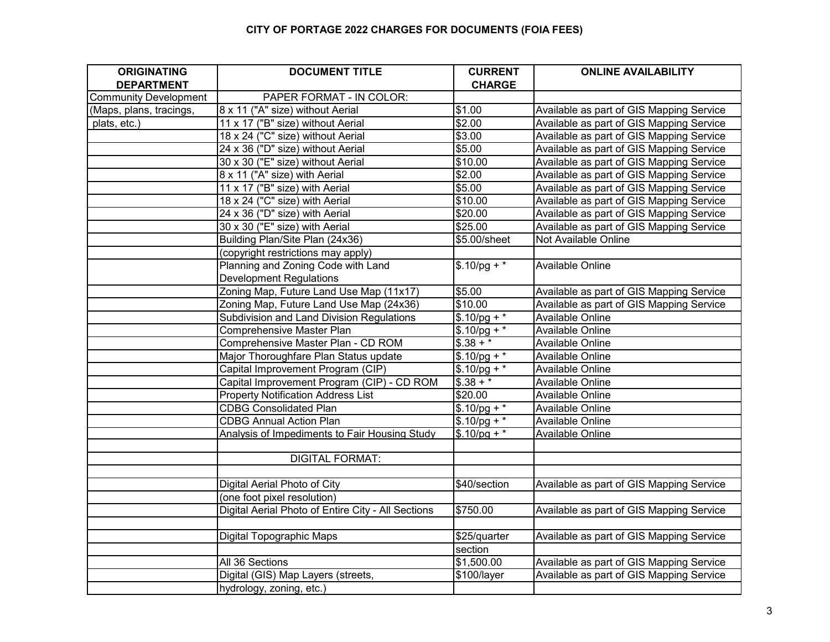## **CITY OF PORTAGE 2022 CHARGES FOR DOCUMENTS (FOIA FEES)**

| <b>ORIGINATING</b>           | <b>DOCUMENT TITLE</b>                              | <b>CURRENT</b> | <b>ONLINE AVAILABILITY</b>               |
|------------------------------|----------------------------------------------------|----------------|------------------------------------------|
| <b>DEPARTMENT</b>            |                                                    | <b>CHARGE</b>  |                                          |
| <b>Community Development</b> | PAPER FORMAT - IN COLOR:                           |                |                                          |
| (Maps, plans, tracings,      | 8 x 11 ("A" size) without Aerial                   | \$1.00         | Available as part of GIS Mapping Service |
| plats, etc.)                 | 11 x 17 ("B" size) without Aerial                  | \$2.00         | Available as part of GIS Mapping Service |
|                              | 18 x 24 ("C" size) without Aerial                  | \$3.00         | Available as part of GIS Mapping Service |
|                              | 24 x 36 ("D" size) without Aerial                  | \$5.00         | Available as part of GIS Mapping Service |
|                              | 30 x 30 ("E" size) without Aerial                  | \$10.00        | Available as part of GIS Mapping Service |
|                              | 8 x 11 ("A" size) with Aerial                      | \$2.00         | Available as part of GIS Mapping Service |
|                              | 11 x 17 ("B" size) with Aerial                     | \$5.00         | Available as part of GIS Mapping Service |
|                              | 18 x 24 ("C" size) with Aerial                     | \$10.00        | Available as part of GIS Mapping Service |
|                              | 24 x 36 ("D" size) with Aerial                     | \$20.00        | Available as part of GIS Mapping Service |
|                              | 30 x 30 ("E" size) with Aerial                     | \$25.00        | Available as part of GIS Mapping Service |
|                              | Building Plan/Site Plan (24x36)                    | \$5.00/sheet   | Not Available Online                     |
|                              | (copyright restrictions may apply)                 |                |                                          |
|                              | Planning and Zoning Code with Land                 | $$.10$ /pg + * | Available Online                         |
|                              | <b>Development Regulations</b>                     |                |                                          |
|                              | Zoning Map, Future Land Use Map (11x17)            | \$5.00         | Available as part of GIS Mapping Service |
|                              | Zoning Map, Future Land Use Map (24x36)            | \$10.00        | Available as part of GIS Mapping Service |
|                              | Subdivision and Land Division Regulations          | $$.10$ /pg + * | Available Online                         |
|                              | <b>Comprehensive Master Plan</b>                   | $$.10$ /pg + * | Available Online                         |
|                              | Comprehensive Master Plan - CD ROM                 | $$.38 + *$     | Available Online                         |
|                              | Major Thoroughfare Plan Status update              | $$.10/pg + *$  | Available Online                         |
|                              | Capital Improvement Program (CIP)                  | $$.10$ /pg + * | Available Online                         |
|                              | Capital Improvement Program (CIP) - CD ROM         | $$.38 + *$     | Available Online                         |
|                              | <b>Property Notification Address List</b>          | \$20.00        | Available Online                         |
|                              | <b>CDBG Consolidated Plan</b>                      | $$.10$ /pg + * | Available Online                         |
|                              | <b>CDBG Annual Action Plan</b>                     | $$.10$ /pg + * | Available Online                         |
|                              | Analysis of Impediments to Fair Housing Study      | $$.10$ /pq + * | Available Online                         |
|                              |                                                    |                |                                          |
|                              | <b>DIGITAL FORMAT:</b>                             |                |                                          |
|                              |                                                    |                |                                          |
|                              | Digital Aerial Photo of City                       | \$40/section   | Available as part of GIS Mapping Service |
|                              | (one foot pixel resolution)                        |                |                                          |
|                              | Digital Aerial Photo of Entire City - All Sections | \$750.00       | Available as part of GIS Mapping Service |
|                              |                                                    |                |                                          |
|                              | Digital Topographic Maps                           | \$25/quarter   | Available as part of GIS Mapping Service |
|                              |                                                    | section        |                                          |
|                              | All 36 Sections                                    | \$1,500.00     | Available as part of GIS Mapping Service |
|                              | Digital (GIS) Map Layers (streets,                 | \$100/layer    | Available as part of GIS Mapping Service |
|                              | hydrology, zoning, etc.)                           |                |                                          |